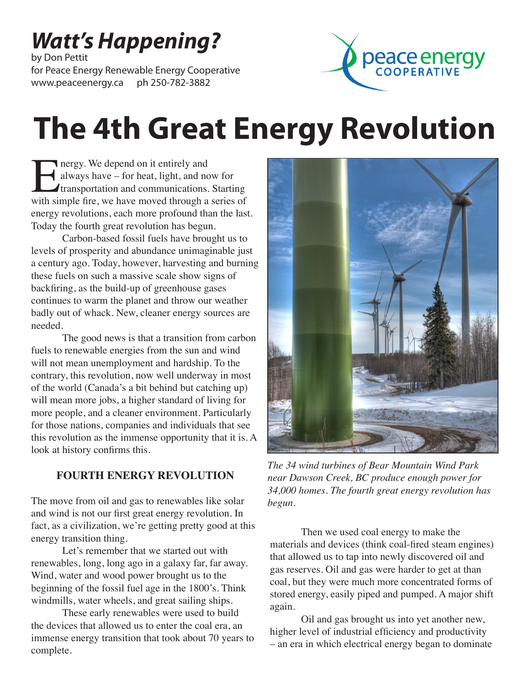# *Watt's Happening?*

by Don Pettit for Peace Energy Renewable Energy Cooperative www.peaceenergy.ca ph 250-782-3882



# **The 4th Great Energy Revolution**

**Energy. We depend on it entirely and always have – for heat, light, and now for transportation and communications. Starting with simple fire, we have moved through a series of** always have – for heat, light, and now for transportation and communications. Starting energy revolutions, each more profound than the last. Today the fourth great revolution has begun.

Carbon-based fossil fuels have brought us to levels of prosperity and abundance unimaginable just a century ago. Today, however, harvesting and burning these fuels on such a massive scale show signs of backfiring, as the build-up of greenhouse gases continues to warm the planet and throw our weather badly out of whack. New, cleaner energy sources are needed.

The good news is that a transition from carbon fuels to renewable energies from the sun and wind will not mean unemployment and hardship. To the contrary, this revolution, now well underway in most of the world (Canada's a bit behind but catching up) will mean more jobs, a higher standard of living for more people, and a cleaner environment. Particularly for those nations, companies and individuals that see this revolution as the immense opportunity that it is. A look at history confirms this.

#### **FOURTH ENERGY REVOLUTION**

The move from oil and gas to renewables like solar and wind is not our first great energy revolution. In fact, as a civilization, we're getting pretty good at this energy transition thing.

Let's remember that we started out with renewables, long, long ago in a galaxy far, far away. Wind, water and wood power brought us to the beginning of the fossil fuel age in the 1800's. Think windmills, water wheels, and great sailing ships.

These early renewables were used to build the devices that allowed us to enter the coal era, an immense energy transition that took about 70 years to complete.



*The 34 wind turbines of Bear Mountain Wind Park near Dawson Creek, BC produce enough power for 34,000 homes. The fourth great energy revolution has begun.*

Then we used coal energy to make the materials and devices (think coal-fired steam engines) that allowed us to tap into newly discovered oil and gas reserves. Oil and gas were harder to get at than coal, but they were much more concentrated forms of stored energy, easily piped and pumped. A major shift again.

Oil and gas brought us into yet another new, higher level of industrial efficiency and productivity – an era in which electrical energy began to dominate